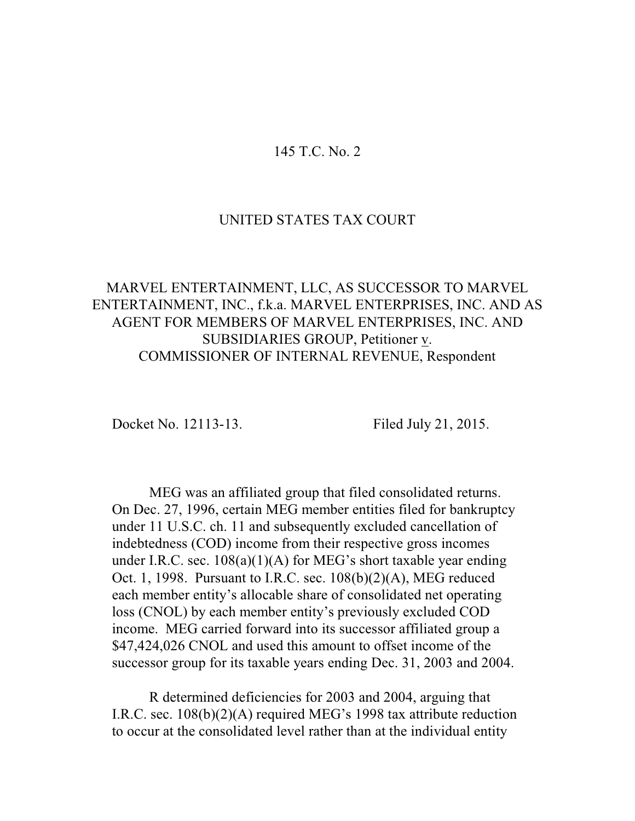# 145 T.C. No. 2

### UNITED STATES TAX COURT

# MARVEL ENTERTAINMENT, LLC, AS SUCCESSOR TO MARVEL ENTERTAINMENT, INC., f.k.a. MARVEL ENTERPRISES, INC. AND AS AGENT FOR MEMBERS OF MARVEL ENTERPRISES, INC. AND SUBSIDIARIES GROUP, Petitioner v. COMMISSIONER OF INTERNAL REVENUE, Respondent

Docket No. 12113-13. Filed July 21, 2015.

MEG was an affiliated group that filed consolidated returns. On Dec. 27, 1996, certain MEG member entities filed for bankruptcy under 11 U.S.C. ch. 11 and subsequently excluded cancellation of indebtedness (COD) income from their respective gross incomes under I.R.C. sec.  $108(a)(1)(A)$  for MEG's short taxable year ending Oct. 1, 1998. Pursuant to I.R.C. sec. 108(b)(2)(A), MEG reduced each member entity's allocable share of consolidated net operating loss (CNOL) by each member entity's previously excluded COD income. MEG carried forward into its successor affiliated group a \$47,424,026 CNOL and used this amount to offset income of the successor group for its taxable years ending Dec. 31, 2003 and 2004.

R determined deficiencies for 2003 and 2004, arguing that I.R.C. sec. 108(b)(2)(A) required MEG's 1998 tax attribute reduction to occur at the consolidated level rather than at the individual entity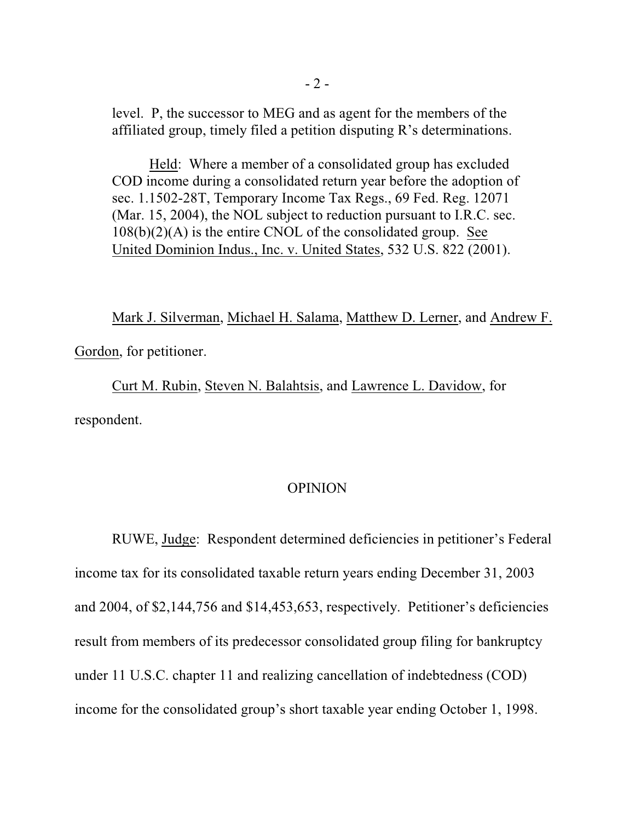level. P, the successor to MEG and as agent for the members of the affiliated group, timely filed a petition disputing R's determinations.

Held: Where a member of a consolidated group has excluded COD income during a consolidated return year before the adoption of sec. 1.1502-28T, Temporary Income Tax Regs., 69 Fed. Reg. 12071 (Mar. 15, 2004), the NOL subject to reduction pursuant to I.R.C. sec.  $108(b)(2)(A)$  is the entire CNOL of the consolidated group. See United Dominion Indus., Inc. v. United States, 532 U.S. 822 (2001).

Mark J. Silverman, Michael H. Salama, Matthew D. Lerner, and Andrew F.

Gordon, for petitioner.

Curt M. Rubin, Steven N. Balahtsis, and Lawrence L. Davidow, for respondent.

# OPINION

RUWE, Judge: Respondent determined deficiencies in petitioner's Federal income tax for its consolidated taxable return years ending December 31, 2003 and 2004, of \$2,144,756 and \$14,453,653, respectively. Petitioner's deficiencies result from members of its predecessor consolidated group filing for bankruptcy under 11 U.S.C. chapter 11 and realizing cancellation of indebtedness (COD) income for the consolidated group's short taxable year ending October 1, 1998.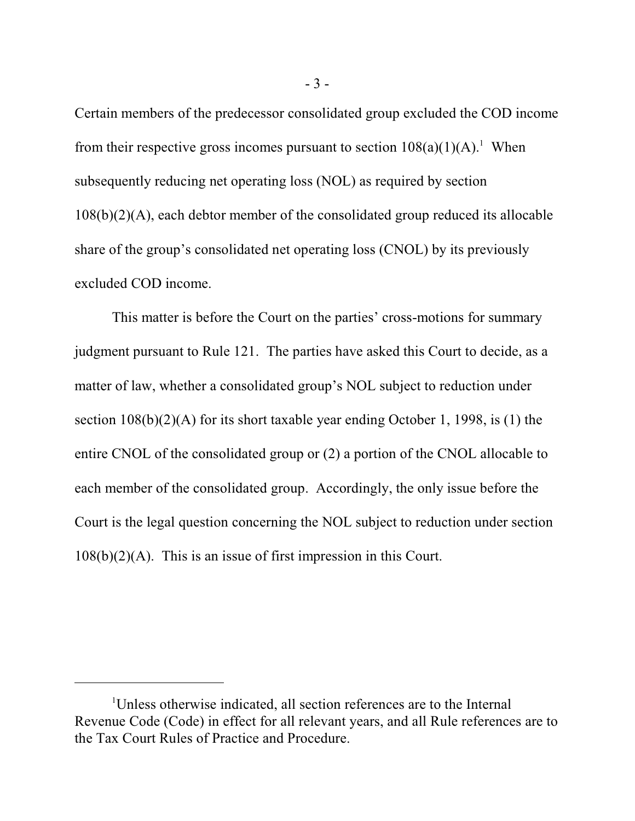Certain members of the predecessor consolidated group excluded the COD income from their respective gross incomes pursuant to section  $108(a)(1)(A)$ .<sup>1</sup> When subsequently reducing net operating loss (NOL) as required by section 108(b)(2)(A), each debtor member of the consolidated group reduced its allocable share of the group's consolidated net operating loss (CNOL) by its previously excluded COD income.

This matter is before the Court on the parties' cross-motions for summary judgment pursuant to Rule 121. The parties have asked this Court to decide, as a matter of law, whether a consolidated group's NOL subject to reduction under section 108(b)(2)(A) for its short taxable year ending October 1, 1998, is (1) the entire CNOL of the consolidated group or (2) a portion of the CNOL allocable to each member of the consolidated group. Accordingly, the only issue before the Court is the legal question concerning the NOL subject to reduction under section 108(b)(2)(A). This is an issue of first impression in this Court.

<sup>&</sup>lt;sup>1</sup>Unless otherwise indicated, all section references are to the Internal Revenue Code (Code) in effect for all relevant years, and all Rule references are to the Tax Court Rules of Practice and Procedure.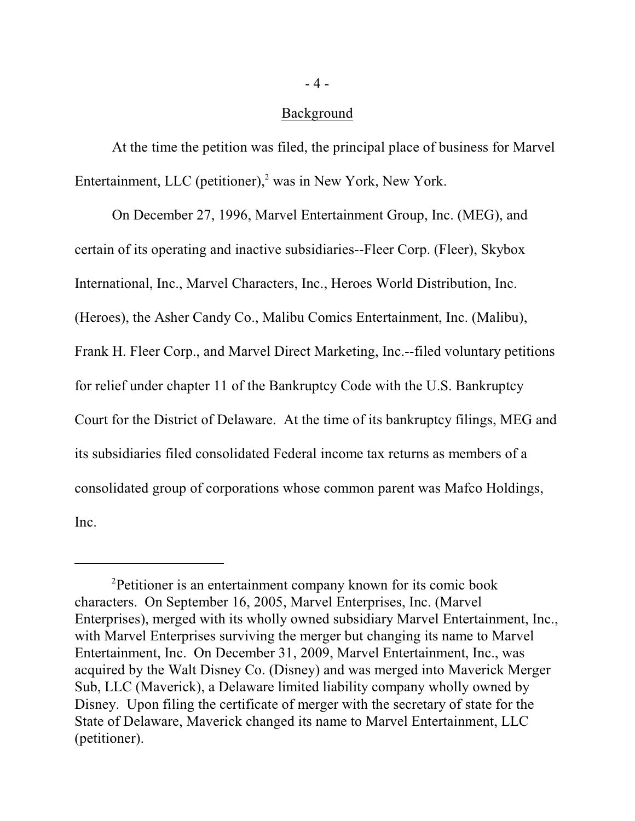### Background

At the time the petition was filed, the principal place of business for Marvel Entertainment, LLC (petitioner), $<sup>2</sup>$  was in New York, New York.</sup>

On December 27, 1996, Marvel Entertainment Group, Inc. (MEG), and certain of its operating and inactive subsidiaries--Fleer Corp. (Fleer), Skybox International, Inc., Marvel Characters, Inc., Heroes World Distribution, Inc. (Heroes), the Asher Candy Co., Malibu Comics Entertainment, Inc. (Malibu), Frank H. Fleer Corp., and Marvel Direct Marketing, Inc.--filed voluntary petitions for relief under chapter 11 of the Bankruptcy Code with the U.S. Bankruptcy Court for the District of Delaware. At the time of its bankruptcy filings, MEG and its subsidiaries filed consolidated Federal income tax returns as members of a consolidated group of corporations whose common parent was Mafco Holdings, Inc.

<sup>&</sup>lt;sup>2</sup>Petitioner is an entertainment company known for its comic book characters. On September 16, 2005, Marvel Enterprises, Inc. (Marvel Enterprises), merged with its wholly owned subsidiary Marvel Entertainment, Inc., with Marvel Enterprises surviving the merger but changing its name to Marvel Entertainment, Inc. On December 31, 2009, Marvel Entertainment, Inc., was acquired by the Walt Disney Co. (Disney) and was merged into Maverick Merger Sub, LLC (Maverick), a Delaware limited liability company wholly owned by Disney. Upon filing the certificate of merger with the secretary of state for the State of Delaware, Maverick changed its name to Marvel Entertainment, LLC (petitioner).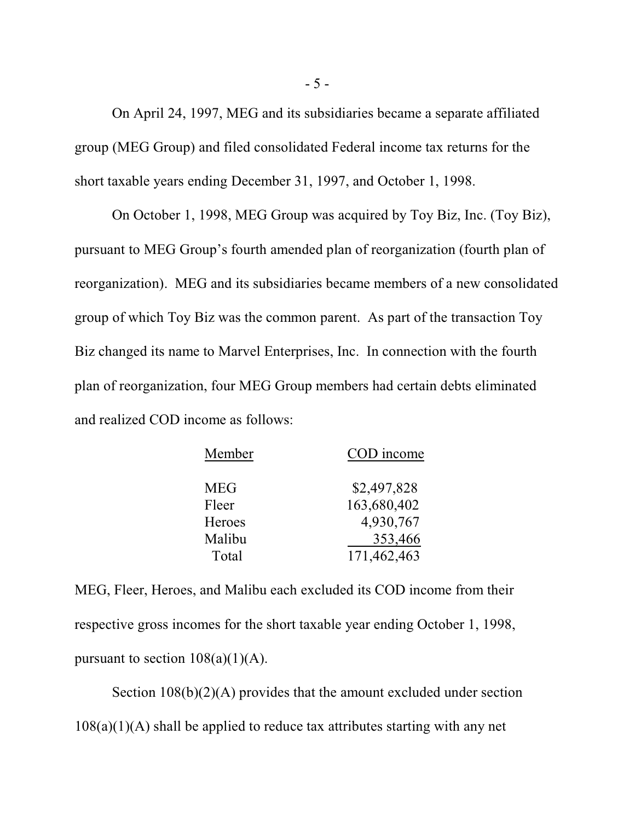On April 24, 1997, MEG and its subsidiaries became a separate affiliated group (MEG Group) and filed consolidated Federal income tax returns for the short taxable years ending December 31, 1997, and October 1, 1998.

On October 1, 1998, MEG Group was acquired by Toy Biz, Inc. (Toy Biz), pursuant to MEG Group's fourth amended plan of reorganization (fourth plan of reorganization). MEG and its subsidiaries became members of a new consolidated group of which Toy Biz was the common parent. As part of the transaction Toy Biz changed its name to Marvel Enterprises, Inc. In connection with the fourth plan of reorganization, four MEG Group members had certain debts eliminated and realized COD income as follows:

| Member     | COD income  |
|------------|-------------|
| <b>MEG</b> | \$2,497,828 |
| Fleer      | 163,680,402 |
| Heroes     | 4,930,767   |
| Malibu     | 353,466     |
| Total      | 171,462,463 |

MEG, Fleer, Heroes, and Malibu each excluded its COD income from their respective gross incomes for the short taxable year ending October 1, 1998, pursuant to section  $108(a)(1)(A)$ .

Section  $108(b)(2)(A)$  provides that the amount excluded under section  $108(a)(1)(A)$  shall be applied to reduce tax attributes starting with any net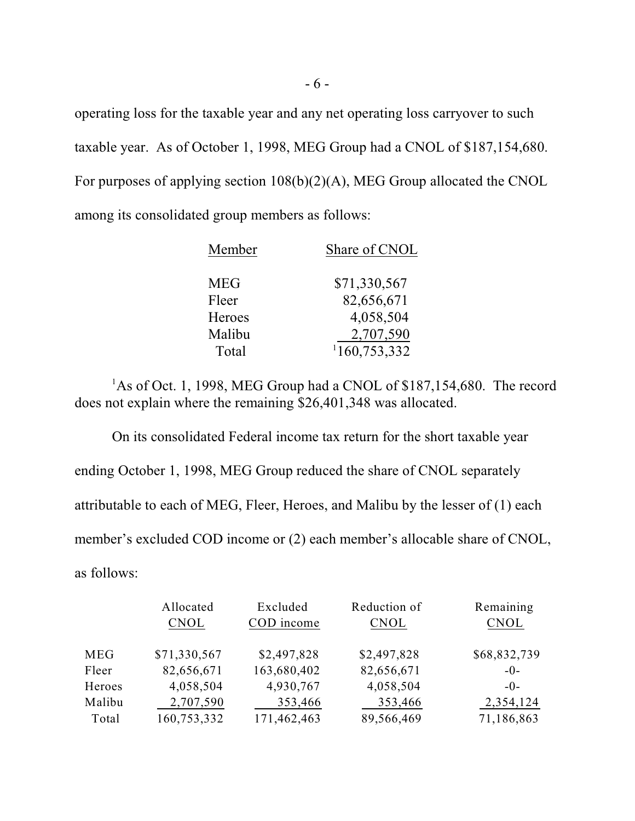operating loss for the taxable year and any net operating loss carryover to such taxable year. As of October 1, 1998, MEG Group had a CNOL of \$187,154,680. For purposes of applying section 108(b)(2)(A), MEG Group allocated the CNOL among its consolidated group members as follows:

| Member        | Share of CNOL |
|---------------|---------------|
| <b>MEG</b>    | \$71,330,567  |
| Fleer         | 82,656,671    |
| <b>Heroes</b> | 4,058,504     |
| Malibu        | 2,707,590     |
| Total         | 1160,753,332  |

 ${}^{1}$ As of Oct. 1, 1998, MEG Group had a CNOL of \$187,154,680. The record does not explain where the remaining \$26,401,348 was allocated.

On its consolidated Federal income tax return for the short taxable year ending October 1, 1998, MEG Group reduced the share of CNOL separately attributable to each of MEG, Fleer, Heroes, and Malibu by the lesser of (1) each member's excluded COD income or (2) each member's allocable share of CNOL, as follows:

|            | Allocated    | Excluded    | Reduction of | Remaining    |
|------------|--------------|-------------|--------------|--------------|
|            | <b>CNOL</b>  | COD income  | CNOL         | CNOL         |
|            |              |             |              |              |
| <b>MEG</b> | \$71,330,567 | \$2,497,828 | \$2,497,828  | \$68,832,739 |
| Fleer      | 82,656,671   | 163,680,402 | 82,656,671   | $-0-$        |
| Heroes     | 4,058,504    | 4,930,767   | 4,058,504    | $-0-$        |
| Malibu     | 2,707,590    | 353,466     | 353,466      | 2,354,124    |
| Total      | 160,753,332  | 171,462,463 | 89,566,469   | 71,186,863   |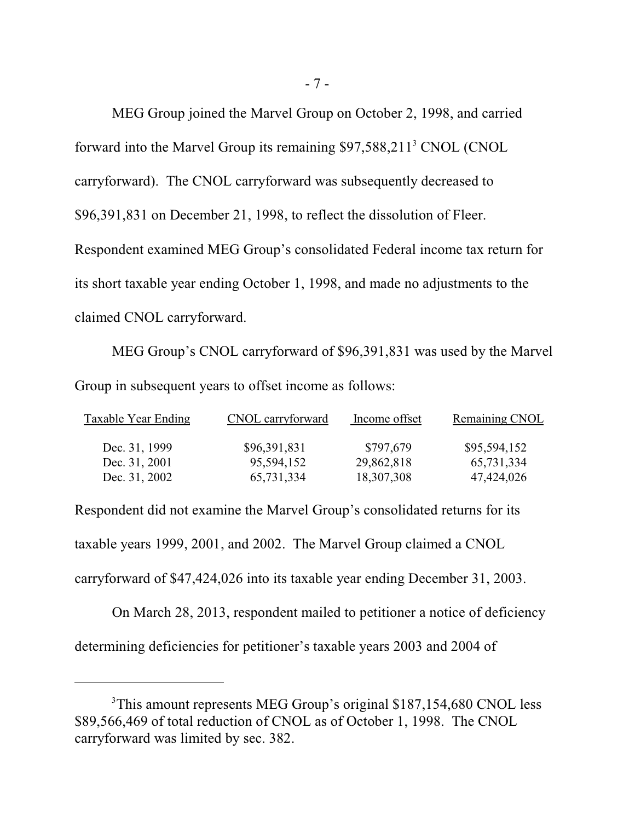MEG Group joined the Marvel Group on October 2, 1998, and carried forward into the Marvel Group its remaining  $$97,588,211<sup>3</sup>$  CNOL (CNOL carryforward). The CNOL carryforward was subsequently decreased to \$96,391,831 on December 21, 1998, to reflect the dissolution of Fleer. Respondent examined MEG Group's consolidated Federal income tax return for its short taxable year ending October 1, 1998, and made no adjustments to the claimed CNOL carryforward.

MEG Group's CNOL carryforward of \$96,391,831 was used by the Marvel Group in subsequent years to offset income as follows:

| Taxable Year Ending | CNOL carryforward | Income offset | Remaining CNOL |
|---------------------|-------------------|---------------|----------------|
| Dec. 31, 1999       | \$96,391,831      | \$797,679     | \$95,594,152   |
| Dec. 31, 2001       | 95,594,152        | 29,862,818    | 65,731,334     |
| Dec. 31, 2002       | 65,731,334        | 18,307,308    | 47,424,026     |

Respondent did not examine the Marvel Group's consolidated returns for its taxable years 1999, 2001, and 2002. The Marvel Group claimed a CNOL carryforward of \$47,424,026 into its taxable year ending December 31, 2003.

On March 28, 2013, respondent mailed to petitioner a notice of deficiency determining deficiencies for petitioner's taxable years 2003 and 2004 of

<sup>&</sup>lt;sup>3</sup>This amount represents MEG Group's original \$187,154,680 CNOL less \$89,566,469 of total reduction of CNOL as of October 1, 1998. The CNOL carryforward was limited by sec. 382.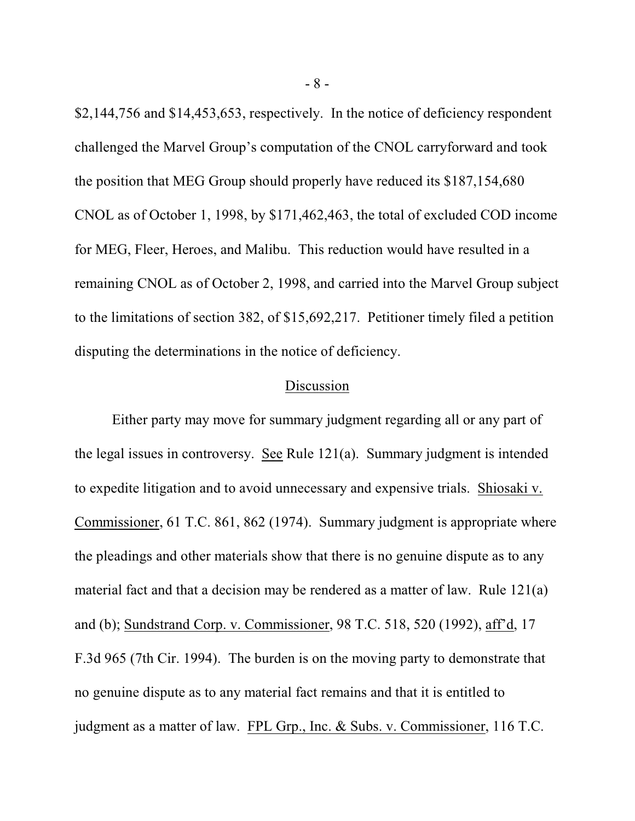\$2,144,756 and \$14,453,653, respectively. In the notice of deficiency respondent challenged the Marvel Group's computation of the CNOL carryforward and took the position that MEG Group should properly have reduced its \$187,154,680 CNOL as of October 1, 1998, by \$171,462,463, the total of excluded COD income for MEG, Fleer, Heroes, and Malibu. This reduction would have resulted in a remaining CNOL as of October 2, 1998, and carried into the Marvel Group subject to the limitations of section 382, of \$15,692,217. Petitioner timely filed a petition disputing the determinations in the notice of deficiency.

# Discussion

Either party may move for summary judgment regarding all or any part of the legal issues in controversy. See Rule 121(a). Summary judgment is intended to expedite litigation and to avoid unnecessary and expensive trials. Shiosaki v. Commissioner, 61 T.C. 861, 862 (1974). Summary judgment is appropriate where the pleadings and other materials show that there is no genuine dispute as to any material fact and that a decision may be rendered as a matter of law. Rule 121(a) and (b); Sundstrand Corp. v. Commissioner, 98 T.C. 518, 520 (1992), aff'd, 17 F.3d 965 (7th Cir. 1994). The burden is on the moving party to demonstrate that no genuine dispute as to any material fact remains and that it is entitled to judgment as a matter of law. FPL Grp., Inc. & Subs. v. Commissioner, 116 T.C.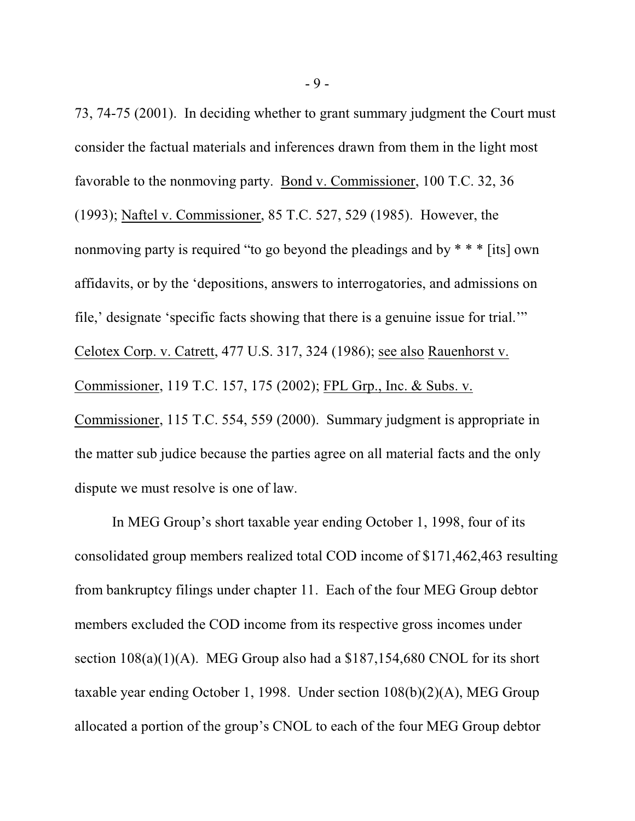73, 74-75 (2001). In deciding whether to grant summary judgment the Court must consider the factual materials and inferences drawn from them in the light most favorable to the nonmoving party. Bond v. Commissioner, 100 T.C. 32, 36 (1993); Naftel v. Commissioner, 85 T.C. 527, 529 (1985). However, the nonmoving party is required "to go beyond the pleadings and by  $* * *$  [its] own affidavits, or by the 'depositions, answers to interrogatories, and admissions on file,' designate 'specific facts showing that there is a genuine issue for trial.'" Celotex Corp. v. Catrett, 477 U.S. 317, 324 (1986); see also Rauenhorst v. Commissioner, 119 T.C. 157, 175 (2002); FPL Grp., Inc. & Subs. v. Commissioner, 115 T.C. 554, 559 (2000). Summary judgment is appropriate in the matter sub judice because the parties agree on all material facts and the only dispute we must resolve is one of law.

In MEG Group's short taxable year ending October 1, 1998, four of its consolidated group members realized total COD income of \$171,462,463 resulting from bankruptcy filings under chapter 11. Each of the four MEG Group debtor members excluded the COD income from its respective gross incomes under section  $108(a)(1)(A)$ . MEG Group also had a \$187,154,680 CNOL for its short taxable year ending October 1, 1998. Under section 108(b)(2)(A), MEG Group allocated a portion of the group's CNOL to each of the four MEG Group debtor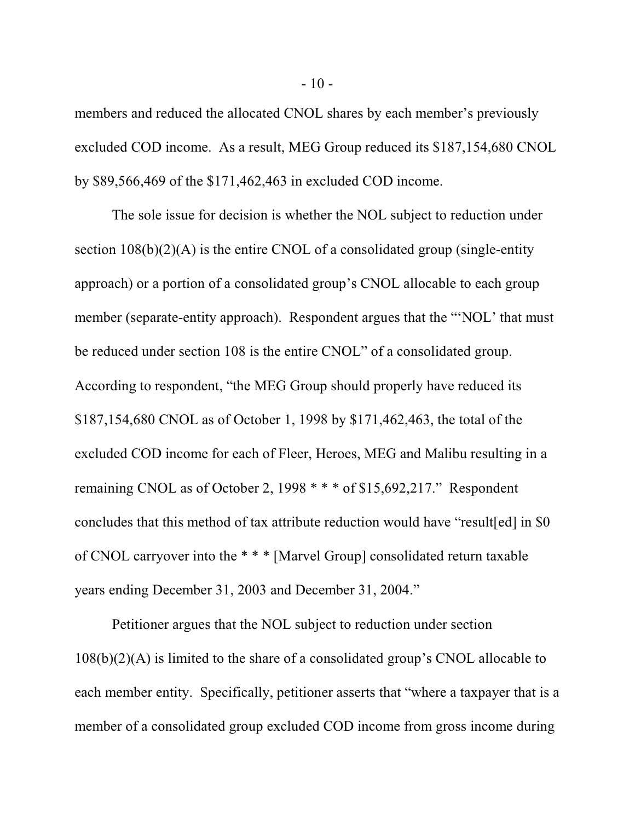members and reduced the allocated CNOL shares by each member's previously excluded COD income. As a result, MEG Group reduced its \$187,154,680 CNOL by \$89,566,469 of the \$171,462,463 in excluded COD income.

The sole issue for decision is whether the NOL subject to reduction under section  $108(b)(2)(A)$  is the entire CNOL of a consolidated group (single-entity approach) or a portion of a consolidated group's CNOL allocable to each group member (separate-entity approach). Respondent argues that the "NOL' that must be reduced under section 108 is the entire CNOL" of a consolidated group. According to respondent, "the MEG Group should properly have reduced its \$187,154,680 CNOL as of October 1, 1998 by \$171,462,463, the total of the excluded COD income for each of Fleer, Heroes, MEG and Malibu resulting in a remaining CNOL as of October 2, 1998 \* \* \* of \$15,692,217." Respondent concludes that this method of tax attribute reduction would have "result[ed] in \$0 of CNOL carryover into the \* \* \* [Marvel Group] consolidated return taxable years ending December 31, 2003 and December 31, 2004."

Petitioner argues that the NOL subject to reduction under section 108(b)(2)(A) is limited to the share of a consolidated group's CNOL allocable to each member entity. Specifically, petitioner asserts that "where a taxpayer that is a member of a consolidated group excluded COD income from gross income during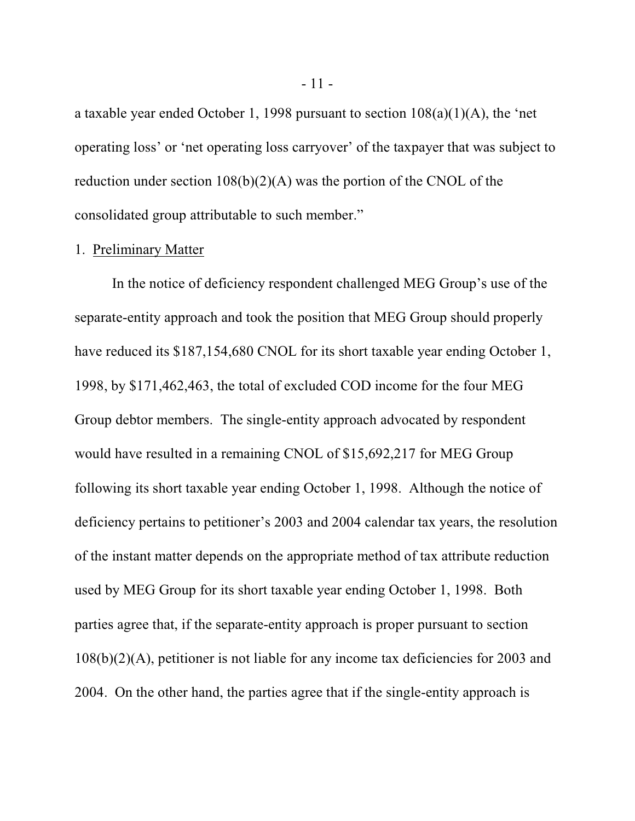a taxable year ended October 1, 1998 pursuant to section 108(a)(1)(A), the 'net operating loss' or 'net operating loss carryover' of the taxpayer that was subject to reduction under section  $108(b)(2)(A)$  was the portion of the CNOL of the consolidated group attributable to such member."

#### 1. Preliminary Matter

In the notice of deficiency respondent challenged MEG Group's use of the separate-entity approach and took the position that MEG Group should properly have reduced its \$187,154,680 CNOL for its short taxable year ending October 1, 1998, by \$171,462,463, the total of excluded COD income for the four MEG Group debtor members. The single-entity approach advocated by respondent would have resulted in a remaining CNOL of \$15,692,217 for MEG Group following its short taxable year ending October 1, 1998. Although the notice of deficiency pertains to petitioner's 2003 and 2004 calendar tax years, the resolution of the instant matter depends on the appropriate method of tax attribute reduction used by MEG Group for its short taxable year ending October 1, 1998. Both parties agree that, if the separate-entity approach is proper pursuant to section 108(b)(2)(A), petitioner is not liable for any income tax deficiencies for 2003 and 2004. On the other hand, the parties agree that if the single-entity approach is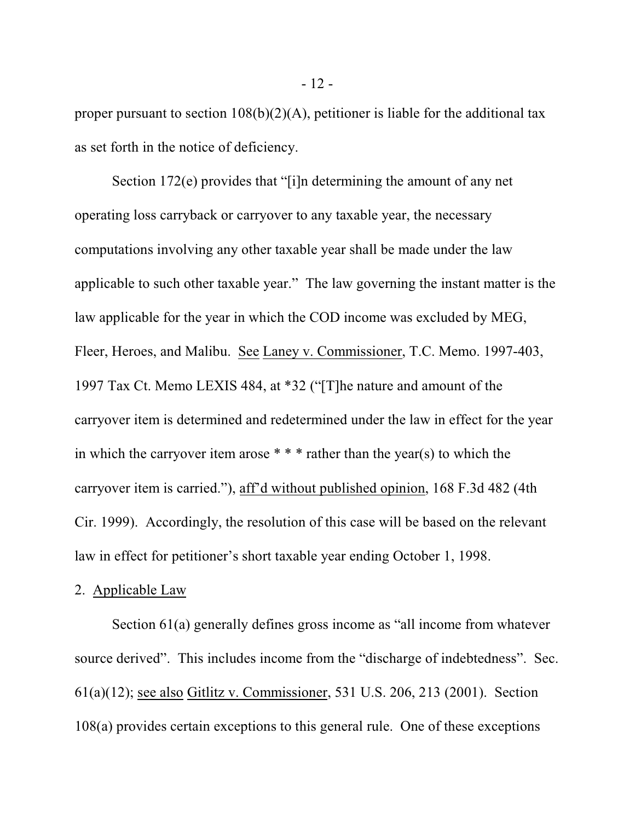proper pursuant to section  $108(b)(2)(A)$ , petitioner is liable for the additional tax as set forth in the notice of deficiency.

Section 172(e) provides that "[i]n determining the amount of any net operating loss carryback or carryover to any taxable year, the necessary computations involving any other taxable year shall be made under the law applicable to such other taxable year." The law governing the instant matter is the law applicable for the year in which the COD income was excluded by MEG, Fleer, Heroes, and Malibu. See Laney v. Commissioner, T.C. Memo. 1997-403, 1997 Tax Ct. Memo LEXIS 484, at \*32 ("[T]he nature and amount of the carryover item is determined and redetermined under the law in effect for the year in which the carryover item arose  $* * *$  rather than the year(s) to which the carryover item is carried."), aff'd without published opinion, 168 F.3d 482 (4th Cir. 1999). Accordingly, the resolution of this case will be based on the relevant law in effect for petitioner's short taxable year ending October 1, 1998.

#### 2. Applicable Law

Section 61(a) generally defines gross income as "all income from whatever source derived". This includes income from the "discharge of indebtedness". Sec. 61(a)(12); see also Gitlitz v. Commissioner, 531 U.S. 206, 213 (2001). Section 108(a) provides certain exceptions to this general rule. One of these exceptions

- 12 -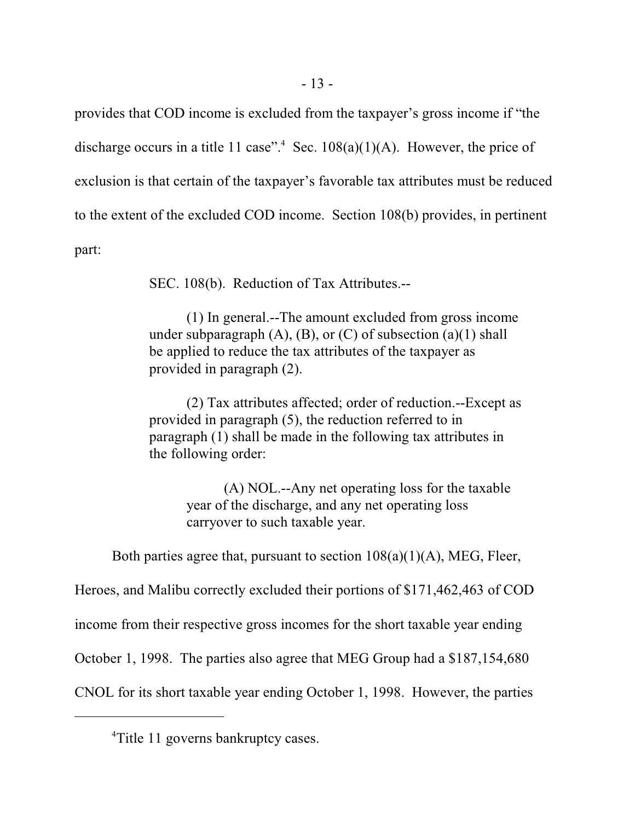provides that COD income is excluded from the taxpayer's gross income if "the discharge occurs in a title 11 case".<sup>4</sup> Sec.  $108(a)(1)(A)$ . However, the price of exclusion is that certain of the taxpayer's favorable tax attributes must be reduced to the extent of the excluded COD income. Section 108(b) provides, in pertinent part:

SEC. 108(b). Reduction of Tax Attributes.--

(1) In general.--The amount excluded from gross income under subparagraph  $(A)$ ,  $(B)$ , or  $(C)$  of subsection  $(a)(1)$  shall be applied to reduce the tax attributes of the taxpayer as provided in paragraph (2).

(2) Tax attributes affected; order of reduction.--Except as provided in paragraph (5), the reduction referred to in paragraph (1) shall be made in the following tax attributes in the following order:

> (A) NOL.--Any net operating loss for the taxable year of the discharge, and any net operating loss carryover to such taxable year.

Both parties agree that, pursuant to section  $108(a)(1)(A)$ , MEG, Fleer,

Heroes, and Malibu correctly excluded their portions of \$171,462,463 of COD

income from their respective gross incomes for the short taxable year ending

October 1, 1998. The parties also agree that MEG Group had a \$187,154,680

CNOL for its short taxable year ending October 1, 1998. However, the parties

<sup>&</sup>lt;sup>4</sup>Title 11 governs bankruptcy cases.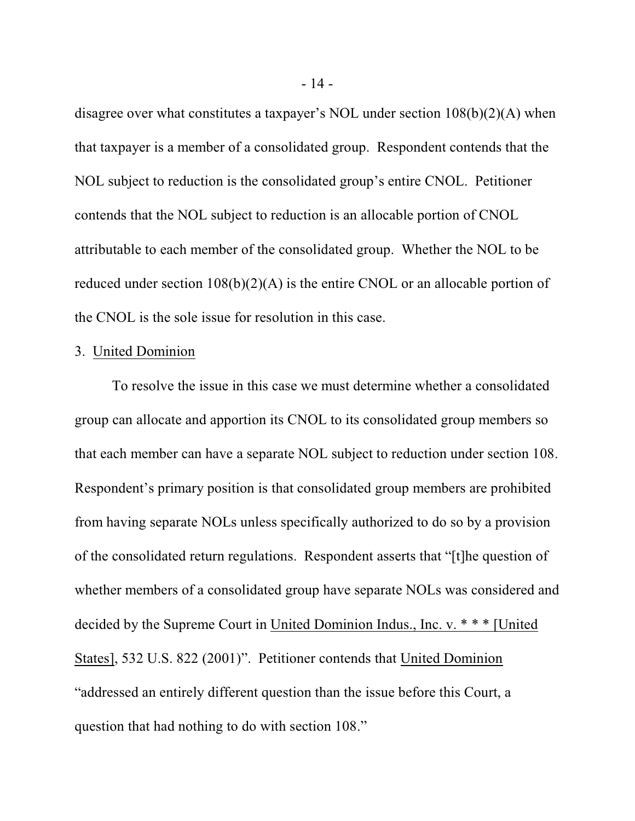disagree over what constitutes a taxpayer's NOL under section 108(b)(2)(A) when that taxpayer is a member of a consolidated group. Respondent contends that the NOL subject to reduction is the consolidated group's entire CNOL. Petitioner contends that the NOL subject to reduction is an allocable portion of CNOL attributable to each member of the consolidated group. Whether the NOL to be reduced under section 108(b)(2)(A) is the entire CNOL or an allocable portion of the CNOL is the sole issue for resolution in this case.

### 3. United Dominion

To resolve the issue in this case we must determine whether a consolidated group can allocate and apportion its CNOL to its consolidated group members so that each member can have a separate NOL subject to reduction under section 108. Respondent's primary position is that consolidated group members are prohibited from having separate NOLs unless specifically authorized to do so by a provision of the consolidated return regulations. Respondent asserts that "[t]he question of whether members of a consolidated group have separate NOLs was considered and decided by the Supreme Court in United Dominion Indus., Inc. v. \* \* \* [United States], 532 U.S. 822 (2001)". Petitioner contends that United Dominion "addressed an entirely different question than the issue before this Court, a question that had nothing to do with section 108."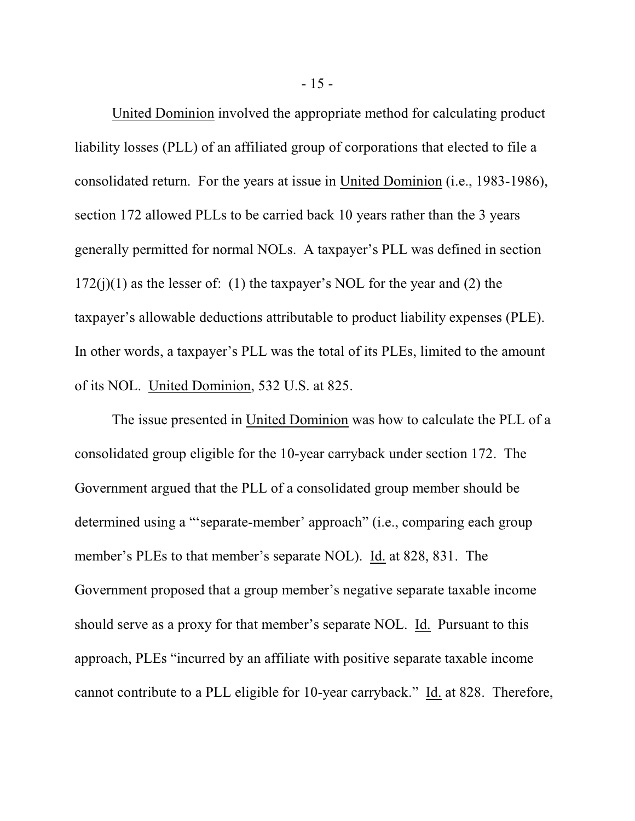United Dominion involved the appropriate method for calculating product liability losses (PLL) of an affiliated group of corporations that elected to file a consolidated return. For the years at issue in United Dominion (i.e., 1983-1986), section 172 allowed PLLs to be carried back 10 years rather than the 3 years generally permitted for normal NOLs. A taxpayer's PLL was defined in section  $172(j)(1)$  as the lesser of: (1) the taxpayer's NOL for the year and (2) the taxpayer's allowable deductions attributable to product liability expenses (PLE). In other words, a taxpayer's PLL was the total of its PLEs, limited to the amount of its NOL. United Dominion, 532 U.S. at 825.

The issue presented in United Dominion was how to calculate the PLL of a consolidated group eligible for the 10-year carryback under section 172. The Government argued that the PLL of a consolidated group member should be determined using a "'separate-member' approach" (i.e., comparing each group member's PLEs to that member's separate NOL). Id. at 828, 831. The Government proposed that a group member's negative separate taxable income should serve as a proxy for that member's separate NOL. Id. Pursuant to this approach, PLEs "incurred by an affiliate with positive separate taxable income cannot contribute to a PLL eligible for 10-year carryback." Id. at 828. Therefore,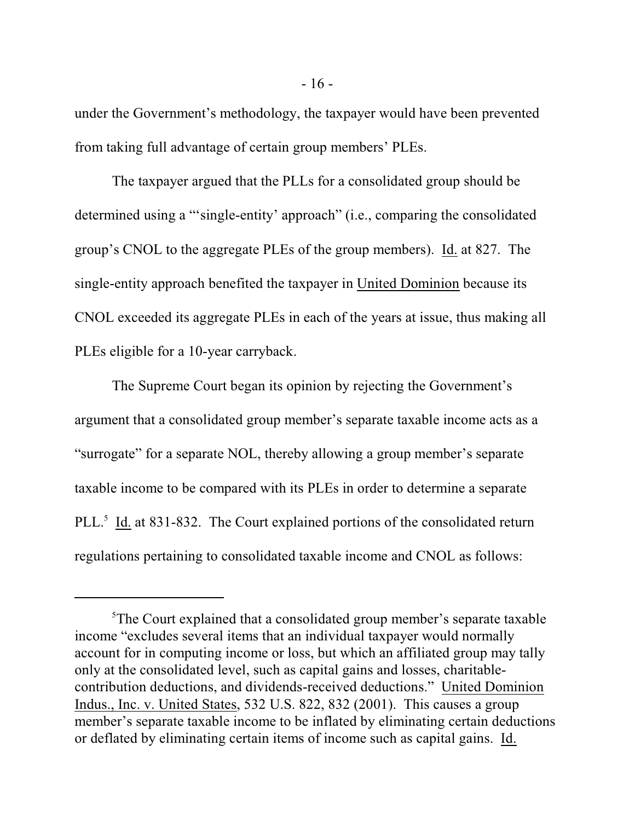under the Government's methodology, the taxpayer would have been prevented from taking full advantage of certain group members' PLEs.

The taxpayer argued that the PLLs for a consolidated group should be determined using a "'single-entity' approach" (i.e., comparing the consolidated group's CNOL to the aggregate PLEs of the group members). Id. at 827. The single-entity approach benefited the taxpayer in United Dominion because its CNOL exceeded its aggregate PLEs in each of the years at issue, thus making all PLEs eligible for a 10-year carryback.

The Supreme Court began its opinion by rejecting the Government's argument that a consolidated group member's separate taxable income acts as a "surrogate" for a separate NOL, thereby allowing a group member's separate taxable income to be compared with its PLEs in order to determine a separate PLL.<sup>5</sup> Id. at 831-832. The Court explained portions of the consolidated return regulations pertaining to consolidated taxable income and CNOL as follows:

<sup>&</sup>lt;sup>5</sup>The Court explained that a consolidated group member's separate taxable income "excludes several items that an individual taxpayer would normally account for in computing income or loss, but which an affiliated group may tally only at the consolidated level, such as capital gains and losses, charitablecontribution deductions, and dividends-received deductions." United Dominion Indus., Inc. v. United States, 532 U.S. 822, 832 (2001). This causes a group member's separate taxable income to be inflated by eliminating certain deductions or deflated by eliminating certain items of income such as capital gains. Id.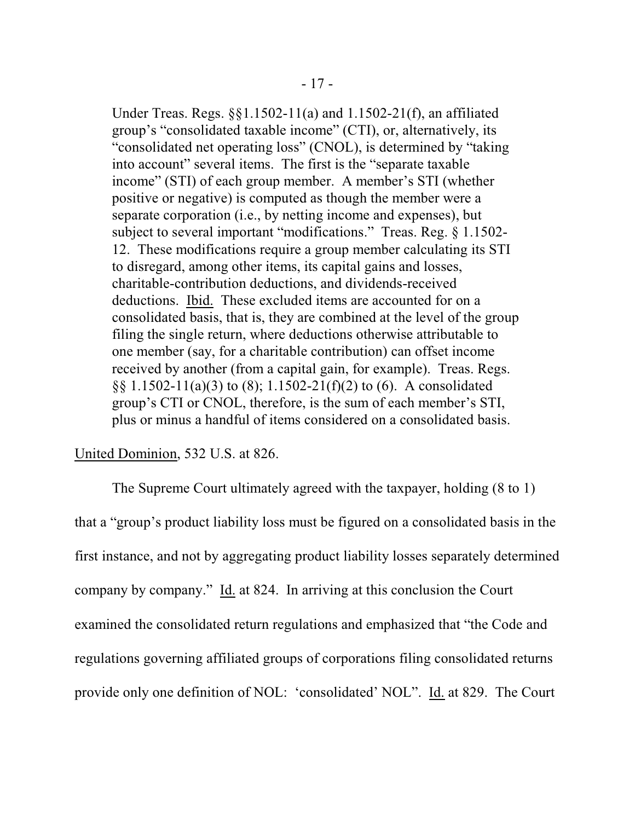Under Treas. Regs. §§1.1502-11(a) and 1.1502-21(f), an affiliated group's "consolidated taxable income" (CTI), or, alternatively, its "consolidated net operating loss" (CNOL), is determined by "taking into account" several items. The first is the "separate taxable income" (STI) of each group member. A member's STI (whether positive or negative) is computed as though the member were a separate corporation (i.e., by netting income and expenses), but subject to several important "modifications." Treas. Reg. § 1.1502- 12. These modifications require a group member calculating its STI to disregard, among other items, its capital gains and losses, charitable-contribution deductions, and dividends-received deductions. Ibid. These excluded items are accounted for on a consolidated basis, that is, they are combined at the level of the group filing the single return, where deductions otherwise attributable to one member (say, for a charitable contribution) can offset income received by another (from a capital gain, for example). Treas. Regs. §§ 1.1502-11(a)(3) to (8); 1.1502-21(f)(2) to (6). A consolidated group's CTI or CNOL, therefore, is the sum of each member's STI, plus or minus a handful of items considered on a consolidated basis.

# United Dominion, 532 U.S. at 826.

The Supreme Court ultimately agreed with the taxpayer, holding (8 to 1) that a "group's product liability loss must be figured on a consolidated basis in the first instance, and not by aggregating product liability losses separately determined company by company." Id. at 824. In arriving at this conclusion the Court examined the consolidated return regulations and emphasized that "the Code and regulations governing affiliated groups of corporations filing consolidated returns provide only one definition of NOL: 'consolidated' NOL". Id. at 829. The Court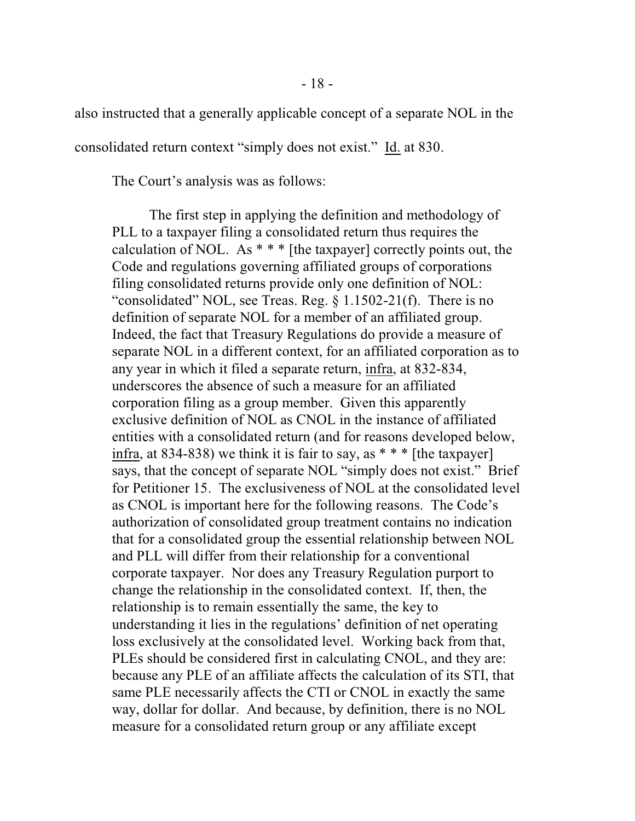also instructed that a generally applicable concept of a separate NOL in the

consolidated return context "simply does not exist." Id. at 830.

The Court's analysis was as follows:

The first step in applying the definition and methodology of PLL to a taxpayer filing a consolidated return thus requires the calculation of NOL. As  $**$  [the taxpayer] correctly points out, the Code and regulations governing affiliated groups of corporations filing consolidated returns provide only one definition of NOL: "consolidated" NOL, see Treas. Reg.  $\S 1.1502-21(f)$ . There is no definition of separate NOL for a member of an affiliated group. Indeed, the fact that Treasury Regulations do provide a measure of separate NOL in a different context, for an affiliated corporation as to any year in which it filed a separate return, infra, at 832-834, underscores the absence of such a measure for an affiliated corporation filing as a group member. Given this apparently exclusive definition of NOL as CNOL in the instance of affiliated entities with a consolidated return (and for reasons developed below, infra, at 834-838) we think it is fair to say, as  $***$  [the taxpayer] says, that the concept of separate NOL "simply does not exist." Brief for Petitioner 15. The exclusiveness of NOL at the consolidated level as CNOL is important here for the following reasons. The Code's authorization of consolidated group treatment contains no indication that for a consolidated group the essential relationship between NOL and PLL will differ from their relationship for a conventional corporate taxpayer. Nor does any Treasury Regulation purport to change the relationship in the consolidated context. If, then, the relationship is to remain essentially the same, the key to understanding it lies in the regulations' definition of net operating loss exclusively at the consolidated level. Working back from that, PLEs should be considered first in calculating CNOL, and they are: because any PLE of an affiliate affects the calculation of its STI, that same PLE necessarily affects the CTI or CNOL in exactly the same way, dollar for dollar. And because, by definition, there is no NOL measure for a consolidated return group or any affiliate except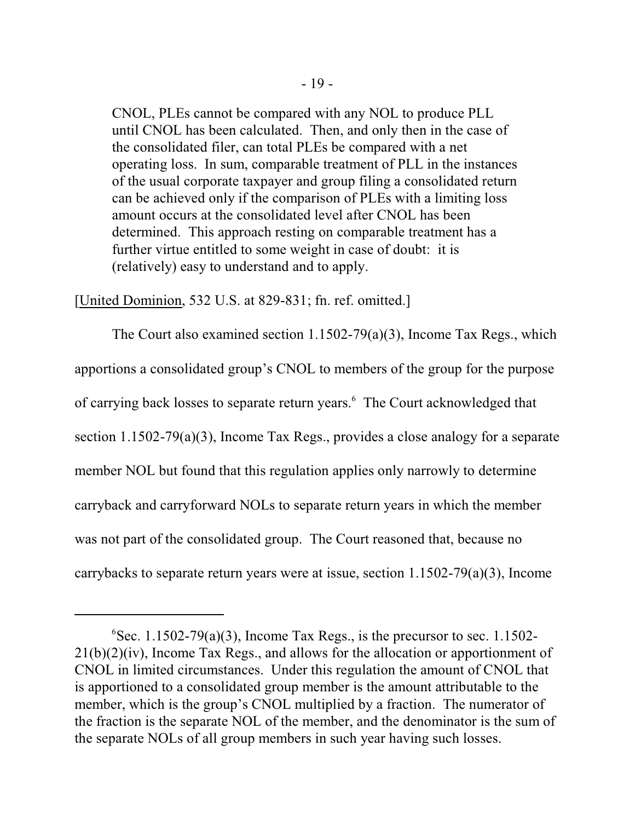CNOL, PLEs cannot be compared with any NOL to produce PLL until CNOL has been calculated. Then, and only then in the case of the consolidated filer, can total PLEs be compared with a net operating loss. In sum, comparable treatment of PLL in the instances of the usual corporate taxpayer and group filing a consolidated return can be achieved only if the comparison of PLEs with a limiting loss amount occurs at the consolidated level after CNOL has been determined. This approach resting on comparable treatment has a further virtue entitled to some weight in case of doubt: it is (relatively) easy to understand and to apply.

[United Dominion, 532 U.S. at 829-831; fn. ref. omitted.]

The Court also examined section 1.1502-79(a)(3), Income Tax Regs., which apportions a consolidated group's CNOL to members of the group for the purpose of carrying back losses to separate return years.<sup>6</sup> The Court acknowledged that section 1.1502-79(a)(3), Income Tax Regs., provides a close analogy for a separate member NOL but found that this regulation applies only narrowly to determine carryback and carryforward NOLs to separate return years in which the member was not part of the consolidated group. The Court reasoned that, because no carrybacks to separate return years were at issue, section 1.1502-79(a)(3), Income

 ${}^{6}$ Sec. 1.1502-79(a)(3), Income Tax Regs., is the precursor to sec. 1.1502-21(b)(2)(iv), Income Tax Regs., and allows for the allocation or apportionment of CNOL in limited circumstances. Under this regulation the amount of CNOL that is apportioned to a consolidated group member is the amount attributable to the member, which is the group's CNOL multiplied by a fraction. The numerator of the fraction is the separate NOL of the member, and the denominator is the sum of the separate NOLs of all group members in such year having such losses.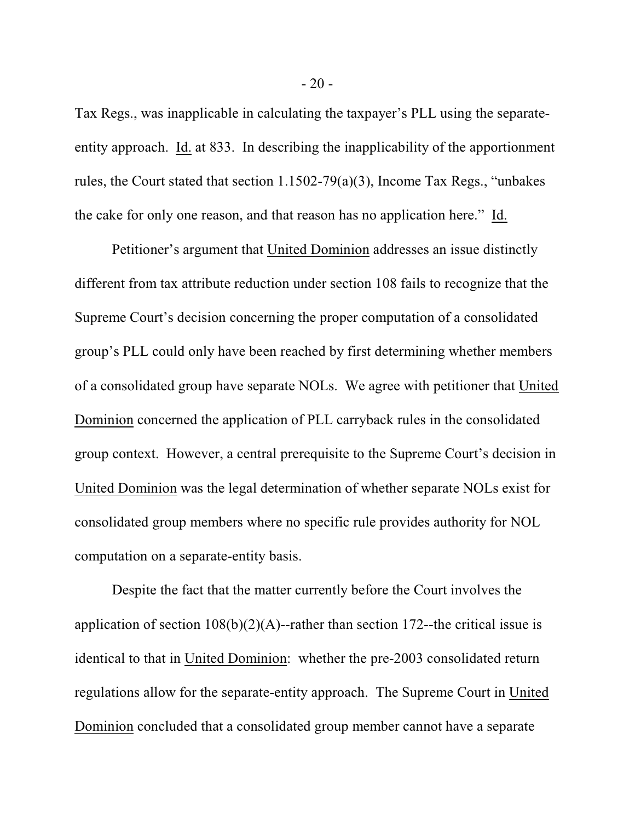Tax Regs., was inapplicable in calculating the taxpayer's PLL using the separateentity approach. Id. at 833. In describing the inapplicability of the apportionment rules, the Court stated that section 1.1502-79(a)(3), Income Tax Regs., "unbakes the cake for only one reason, and that reason has no application here." Id.

Petitioner's argument that United Dominion addresses an issue distinctly different from tax attribute reduction under section 108 fails to recognize that the Supreme Court's decision concerning the proper computation of a consolidated group's PLL could only have been reached by first determining whether members of a consolidated group have separate NOLs. We agree with petitioner that United Dominion concerned the application of PLL carryback rules in the consolidated group context. However, a central prerequisite to the Supreme Court's decision in United Dominion was the legal determination of whether separate NOLs exist for consolidated group members where no specific rule provides authority for NOL computation on a separate-entity basis.

Despite the fact that the matter currently before the Court involves the application of section  $108(b)(2)(A)$ --rather than section 172--the critical issue is identical to that in United Dominion: whether the pre-2003 consolidated return regulations allow for the separate-entity approach. The Supreme Court in United Dominion concluded that a consolidated group member cannot have a separate

- 20 -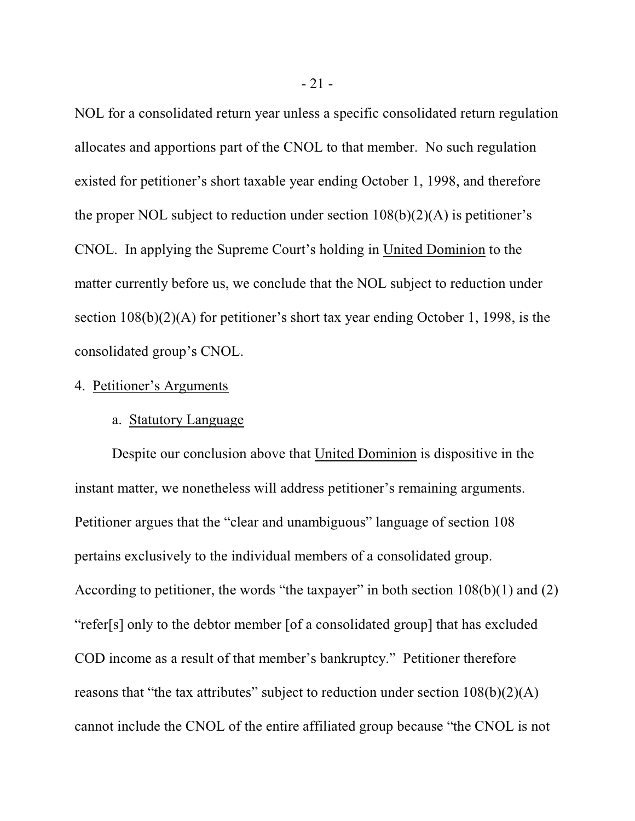NOL for a consolidated return year unless a specific consolidated return regulation allocates and apportions part of the CNOL to that member. No such regulation existed for petitioner's short taxable year ending October 1, 1998, and therefore the proper NOL subject to reduction under section  $108(b)(2)(A)$  is petitioner's CNOL. In applying the Supreme Court's holding in United Dominion to the matter currently before us, we conclude that the NOL subject to reduction under section 108(b)(2)(A) for petitioner's short tax year ending October 1, 1998, is the consolidated group's CNOL.

### 4. Petitioner's Arguments

### a. Statutory Language

Despite our conclusion above that United Dominion is dispositive in the instant matter, we nonetheless will address petitioner's remaining arguments. Petitioner argues that the "clear and unambiguous" language of section 108 pertains exclusively to the individual members of a consolidated group. According to petitioner, the words "the taxpayer" in both section  $108(b)(1)$  and  $(2)$ "refer[s] only to the debtor member [of a consolidated group] that has excluded COD income as a result of that member's bankruptcy." Petitioner therefore reasons that "the tax attributes" subject to reduction under section  $108(b)(2)(A)$ cannot include the CNOL of the entire affiliated group because "the CNOL is not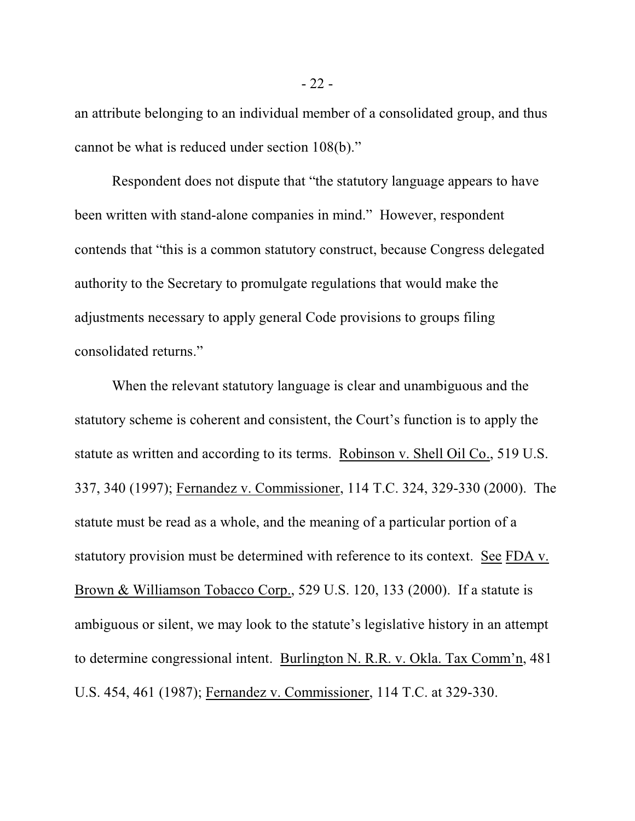an attribute belonging to an individual member of a consolidated group, and thus cannot be what is reduced under section 108(b)."

Respondent does not dispute that "the statutory language appears to have been written with stand-alone companies in mind." However, respondent contends that "this is a common statutory construct, because Congress delegated authority to the Secretary to promulgate regulations that would make the adjustments necessary to apply general Code provisions to groups filing consolidated returns."

When the relevant statutory language is clear and unambiguous and the statutory scheme is coherent and consistent, the Court's function is to apply the statute as written and according to its terms. Robinson v. Shell Oil Co., 519 U.S. 337, 340 (1997); Fernandez v. Commissioner, 114 T.C. 324, 329-330 (2000). The statute must be read as a whole, and the meaning of a particular portion of a statutory provision must be determined with reference to its context. See FDA v. Brown & Williamson Tobacco Corp., 529 U.S. 120, 133 (2000). If a statute is ambiguous or silent, we may look to the statute's legislative history in an attempt to determine congressional intent. Burlington N. R.R. v. Okla. Tax Comm'n, 481 U.S. 454, 461 (1987); Fernandez v. Commissioner, 114 T.C. at 329-330.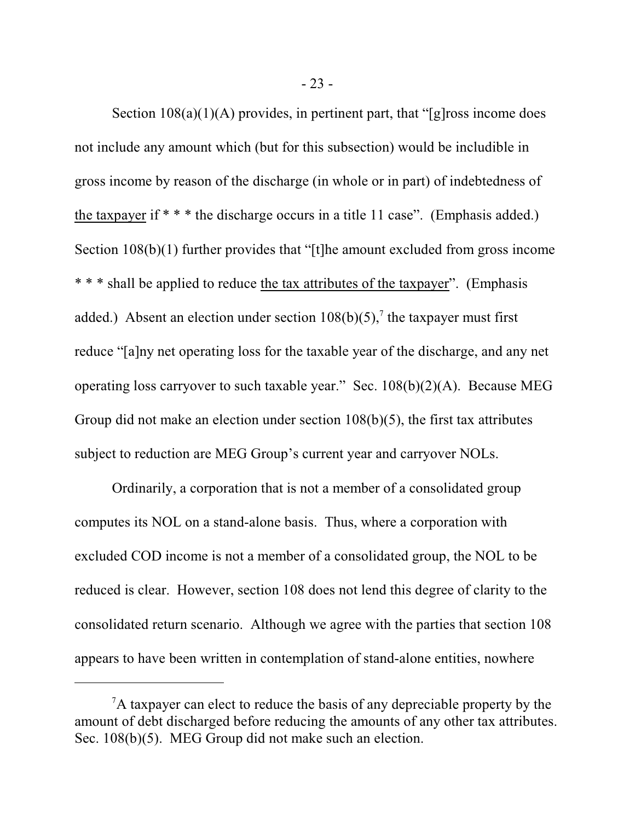Section  $108(a)(1)(A)$  provides, in pertinent part, that "[g]ross income does not include any amount which (but for this subsection) would be includible in gross income by reason of the discharge (in whole or in part) of indebtedness of the taxpayer if  $***$  the discharge occurs in a title 11 case". (Emphasis added.) Section 108(b)(1) further provides that "[t]he amount excluded from gross income \* \* \* shall be applied to reduce the tax attributes of the taxpayer". (Emphasis added.) Absent an election under section  $108(b)(5)$ ,<sup>7</sup> the taxpayer must first reduce "[a]ny net operating loss for the taxable year of the discharge, and any net operating loss carryover to such taxable year." Sec. 108(b)(2)(A). Because MEG Group did not make an election under section 108(b)(5), the first tax attributes subject to reduction are MEG Group's current year and carryover NOLs.

Ordinarily, a corporation that is not a member of a consolidated group computes its NOL on a stand-alone basis. Thus, where a corporation with excluded COD income is not a member of a consolidated group, the NOL to be reduced is clear. However, section 108 does not lend this degree of clarity to the consolidated return scenario. Although we agree with the parties that section 108 appears to have been written in contemplation of stand-alone entities, nowhere

 $A$  taxpayer can elect to reduce the basis of any depreciable property by the amount of debt discharged before reducing the amounts of any other tax attributes. Sec. 108(b)(5). MEG Group did not make such an election.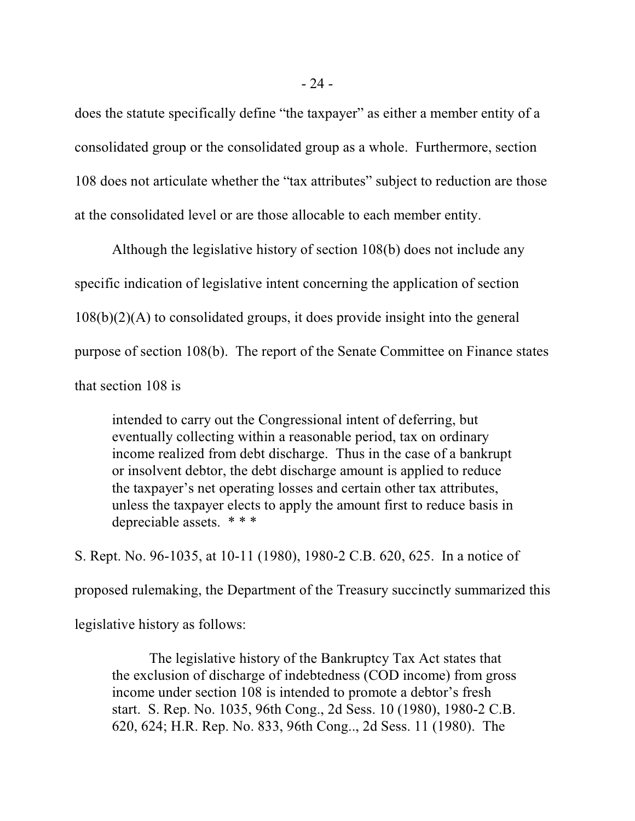does the statute specifically define "the taxpayer" as either a member entity of a consolidated group or the consolidated group as a whole. Furthermore, section 108 does not articulate whether the "tax attributes" subject to reduction are those at the consolidated level or are those allocable to each member entity.

Although the legislative history of section 108(b) does not include any specific indication of legislative intent concerning the application of section 108(b)(2)(A) to consolidated groups, it does provide insight into the general purpose of section 108(b). The report of the Senate Committee on Finance states that section 108 is

intended to carry out the Congressional intent of deferring, but eventually collecting within a reasonable period, tax on ordinary income realized from debt discharge. Thus in the case of a bankrupt or insolvent debtor, the debt discharge amount is applied to reduce the taxpayer's net operating losses and certain other tax attributes, unless the taxpayer elects to apply the amount first to reduce basis in depreciable assets. \* \* \*

S. Rept. No. 96-1035, at 10-11 (1980), 1980-2 C.B. 620, 625. In a notice of proposed rulemaking, the Department of the Treasury succinctly summarized this legislative history as follows:

The legislative history of the Bankruptcy Tax Act states that the exclusion of discharge of indebtedness (COD income) from gross income under section 108 is intended to promote a debtor's fresh start. S. Rep. No. 1035, 96th Cong., 2d Sess. 10 (1980), 1980-2 C.B. 620, 624; H.R. Rep. No. 833, 96th Cong.., 2d Sess. 11 (1980). The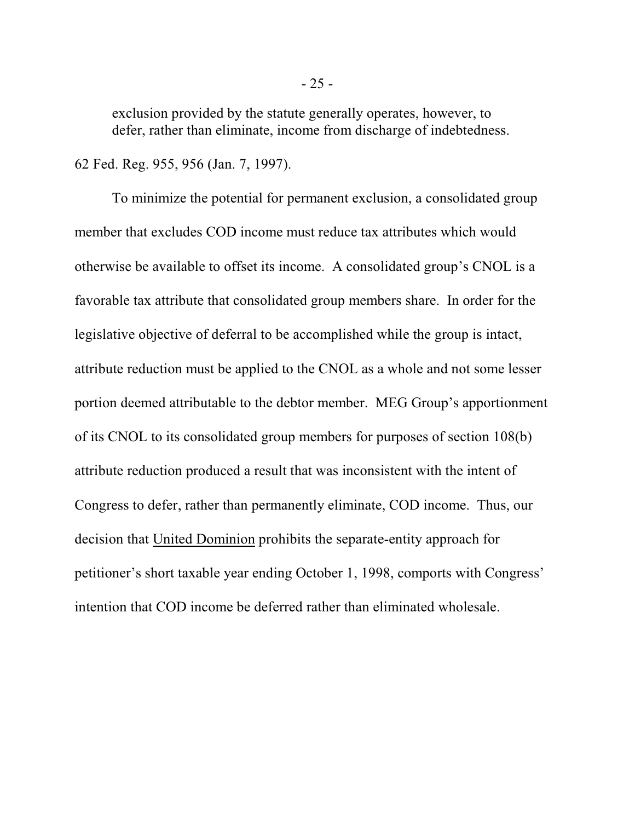exclusion provided by the statute generally operates, however, to defer, rather than eliminate, income from discharge of indebtedness.

62 Fed. Reg. 955, 956 (Jan. 7, 1997).

To minimize the potential for permanent exclusion, a consolidated group member that excludes COD income must reduce tax attributes which would otherwise be available to offset its income. A consolidated group's CNOL is a favorable tax attribute that consolidated group members share. In order for the legislative objective of deferral to be accomplished while the group is intact, attribute reduction must be applied to the CNOL as a whole and not some lesser portion deemed attributable to the debtor member. MEG Group's apportionment of its CNOL to its consolidated group members for purposes of section 108(b) attribute reduction produced a result that was inconsistent with the intent of Congress to defer, rather than permanently eliminate, COD income. Thus, our decision that United Dominion prohibits the separate-entity approach for petitioner's short taxable year ending October 1, 1998, comports with Congress' intention that COD income be deferred rather than eliminated wholesale.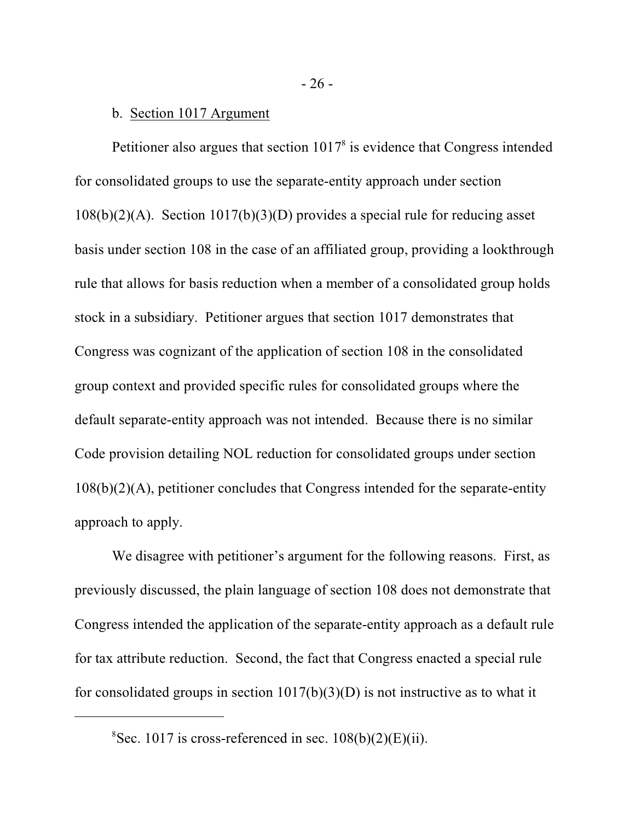# b. Section 1017 Argument

Petitioner also argues that section  $1017<sup>8</sup>$  is evidence that Congress intended for consolidated groups to use the separate-entity approach under section 108(b)(2)(A). Section 1017(b)(3)(D) provides a special rule for reducing asset basis under section 108 in the case of an affiliated group, providing a lookthrough rule that allows for basis reduction when a member of a consolidated group holds stock in a subsidiary. Petitioner argues that section 1017 demonstrates that Congress was cognizant of the application of section 108 in the consolidated group context and provided specific rules for consolidated groups where the default separate-entity approach was not intended. Because there is no similar Code provision detailing NOL reduction for consolidated groups under section 108(b)(2)(A), petitioner concludes that Congress intended for the separate-entity approach to apply.

We disagree with petitioner's argument for the following reasons. First, as previously discussed, the plain language of section 108 does not demonstrate that Congress intended the application of the separate-entity approach as a default rule for tax attribute reduction. Second, the fact that Congress enacted a special rule for consolidated groups in section  $1017(b)(3)(D)$  is not instructive as to what it

 ${}^{8}$ Sec. 1017 is cross-referenced in sec. 108(b)(2)(E)(ii).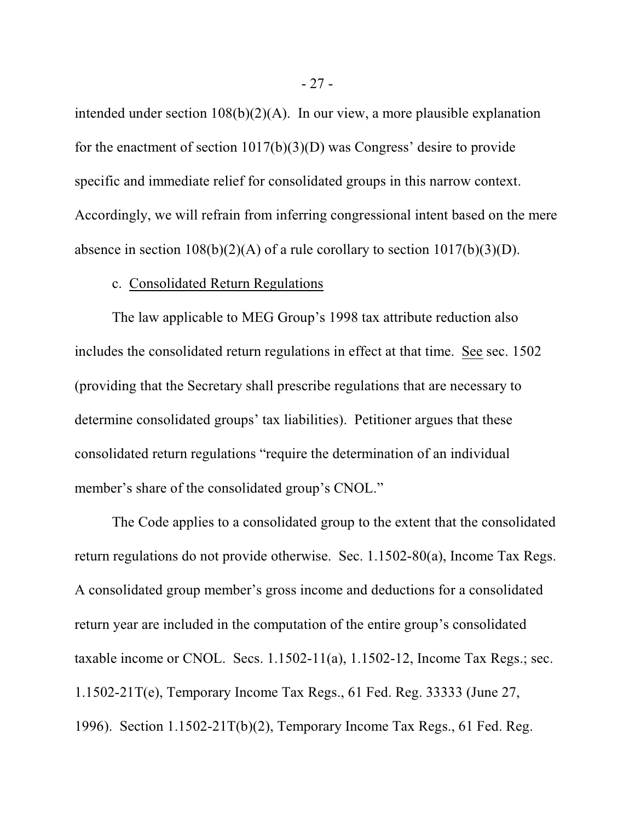intended under section 108(b)(2)(A). In our view, a more plausible explanation for the enactment of section 1017(b)(3)(D) was Congress' desire to provide specific and immediate relief for consolidated groups in this narrow context. Accordingly, we will refrain from inferring congressional intent based on the mere absence in section  $108(b)(2)(A)$  of a rule corollary to section  $1017(b)(3)(D)$ .

# c. Consolidated Return Regulations

The law applicable to MEG Group's 1998 tax attribute reduction also includes the consolidated return regulations in effect at that time. See sec. 1502 (providing that the Secretary shall prescribe regulations that are necessary to determine consolidated groups' tax liabilities). Petitioner argues that these consolidated return regulations "require the determination of an individual member's share of the consolidated group's CNOL."

The Code applies to a consolidated group to the extent that the consolidated return regulations do not provide otherwise. Sec. 1.1502-80(a), Income Tax Regs. A consolidated group member's gross income and deductions for a consolidated return year are included in the computation of the entire group's consolidated taxable income or CNOL. Secs. 1.1502-11(a), 1.1502-12, Income Tax Regs.; sec. 1.1502-21T(e), Temporary Income Tax Regs., 61 Fed. Reg. 33333 (June 27, 1996). Section 1.1502-21T(b)(2), Temporary Income Tax Regs., 61 Fed. Reg.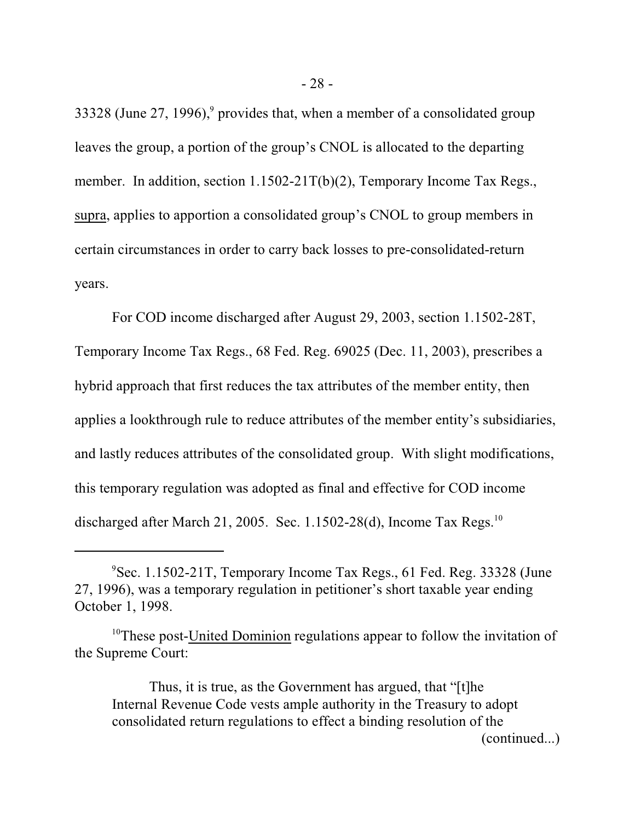33328 (June 27, 1996),<sup>9</sup> provides that, when a member of a consolidated group leaves the group, a portion of the group's CNOL is allocated to the departing member. In addition, section 1.1502-21T(b)(2), Temporary Income Tax Regs., supra, applies to apportion a consolidated group's CNOL to group members in certain circumstances in order to carry back losses to pre-consolidated-return years.

For COD income discharged after August 29, 2003, section 1.1502-28T, Temporary Income Tax Regs., 68 Fed. Reg. 69025 (Dec. 11, 2003), prescribes a hybrid approach that first reduces the tax attributes of the member entity, then applies a lookthrough rule to reduce attributes of the member entity's subsidiaries, and lastly reduces attributes of the consolidated group. With slight modifications, this temporary regulation was adopted as final and effective for COD income discharged after March 21, 2005. Sec. 1.1502-28(d), Income Tax Regs.<sup>10</sup>

Thus, it is true, as the Government has argued, that "[t]he Internal Revenue Code vests ample authority in the Treasury to adopt consolidated return regulations to effect a binding resolution of the

(continued...)

Sec. 1.1502-21T, Temporary Income Tax Regs., 61 Fed. Reg. 33328 (June 9 27, 1996), was a temporary regulation in petitioner's short taxable year ending October 1, 1998.

 $10$ <sup>10</sup>These post-United Dominion regulations appear to follow the invitation of the Supreme Court: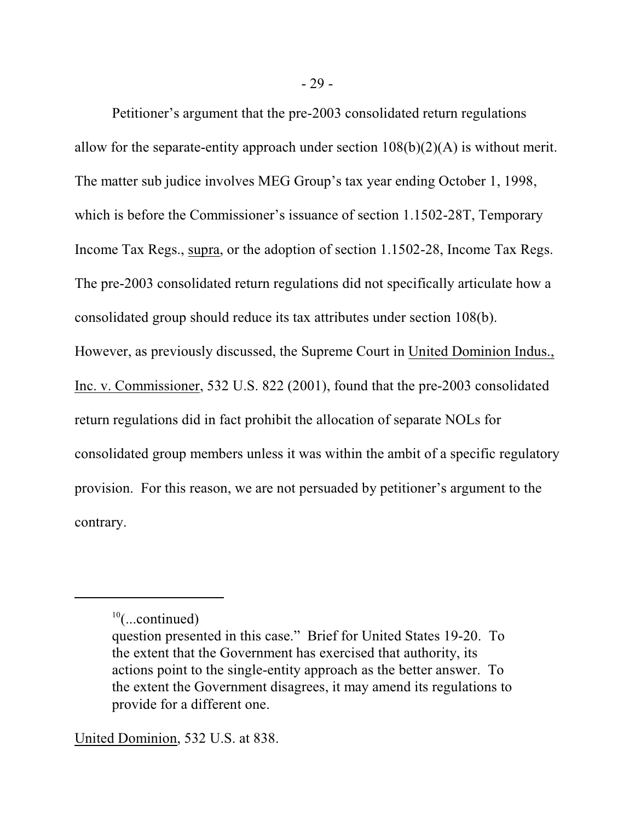Petitioner's argument that the pre-2003 consolidated return regulations allow for the separate-entity approach under section  $108(b)(2)(A)$  is without merit. The matter sub judice involves MEG Group's tax year ending October 1, 1998, which is before the Commissioner's issuance of section 1.1502-28T, Temporary Income Tax Regs., supra, or the adoption of section 1.1502-28, Income Tax Regs. The pre-2003 consolidated return regulations did not specifically articulate how a consolidated group should reduce its tax attributes under section 108(b). However, as previously discussed, the Supreme Court in United Dominion Indus., Inc. v. Commissioner, 532 U.S. 822 (2001), found that the pre-2003 consolidated return regulations did in fact prohibit the allocation of separate NOLs for consolidated group members unless it was within the ambit of a specific regulatory provision. For this reason, we are not persuaded by petitioner's argument to the contrary.

United Dominion, 532 U.S. at 838.

 $10$ (...continued)

question presented in this case." Brief for United States 19-20. To the extent that the Government has exercised that authority, its actions point to the single-entity approach as the better answer. To the extent the Government disagrees, it may amend its regulations to provide for a different one.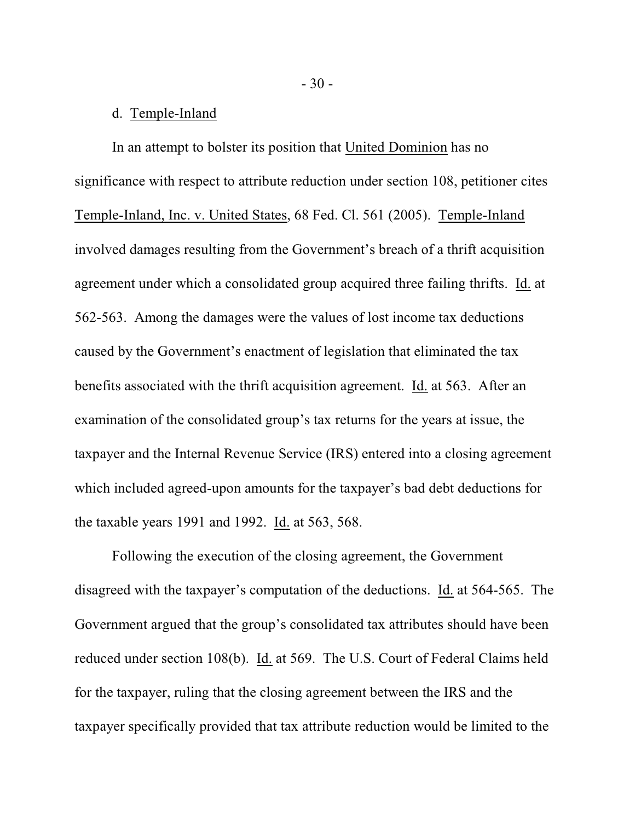# d. Temple-Inland

In an attempt to bolster its position that United Dominion has no significance with respect to attribute reduction under section 108, petitioner cites Temple-Inland, Inc. v. United States, 68 Fed. Cl. 561 (2005). Temple-Inland involved damages resulting from the Government's breach of a thrift acquisition agreement under which a consolidated group acquired three failing thrifts. Id. at 562-563. Among the damages were the values of lost income tax deductions caused by the Government's enactment of legislation that eliminated the tax benefits associated with the thrift acquisition agreement. Id. at 563. After an examination of the consolidated group's tax returns for the years at issue, the taxpayer and the Internal Revenue Service (IRS) entered into a closing agreement which included agreed-upon amounts for the taxpayer's bad debt deductions for the taxable years 1991 and 1992. Id. at 563, 568.

Following the execution of the closing agreement, the Government disagreed with the taxpayer's computation of the deductions. Id. at 564-565. The Government argued that the group's consolidated tax attributes should have been reduced under section 108(b). Id. at 569. The U.S. Court of Federal Claims held for the taxpayer, ruling that the closing agreement between the IRS and the taxpayer specifically provided that tax attribute reduction would be limited to the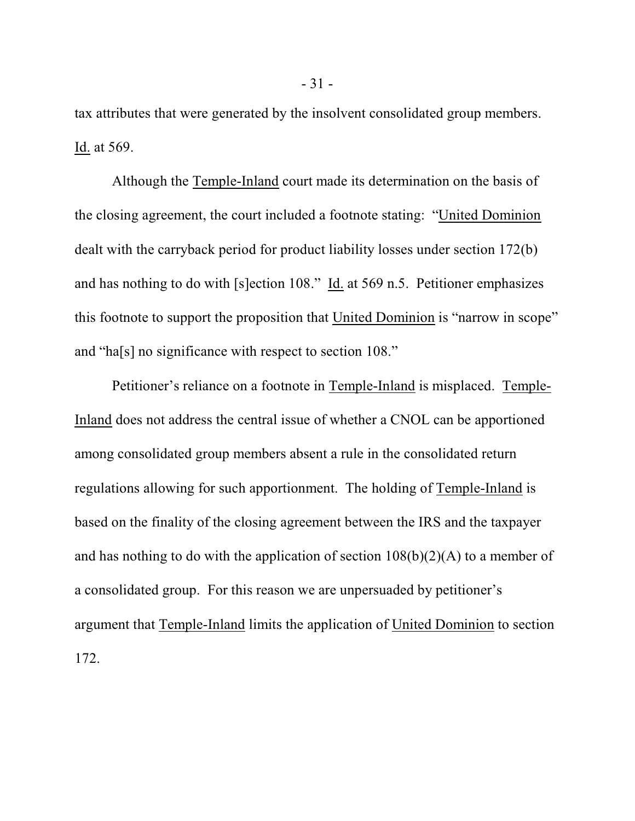tax attributes that were generated by the insolvent consolidated group members. Id. at 569.

Although the Temple-Inland court made its determination on the basis of the closing agreement, the court included a footnote stating: "United Dominion dealt with the carryback period for product liability losses under section 172(b) and has nothing to do with [s]ection 108." Id. at 569 n.5. Petitioner emphasizes this footnote to support the proposition that United Dominion is "narrow in scope" and "ha[s] no significance with respect to section 108."

Petitioner's reliance on a footnote in Temple-Inland is misplaced. Temple-Inland does not address the central issue of whether a CNOL can be apportioned among consolidated group members absent a rule in the consolidated return regulations allowing for such apportionment. The holding of Temple-Inland is based on the finality of the closing agreement between the IRS and the taxpayer and has nothing to do with the application of section  $108(b)(2)(A)$  to a member of a consolidated group. For this reason we are unpersuaded by petitioner's argument that Temple-Inland limits the application of United Dominion to section 172.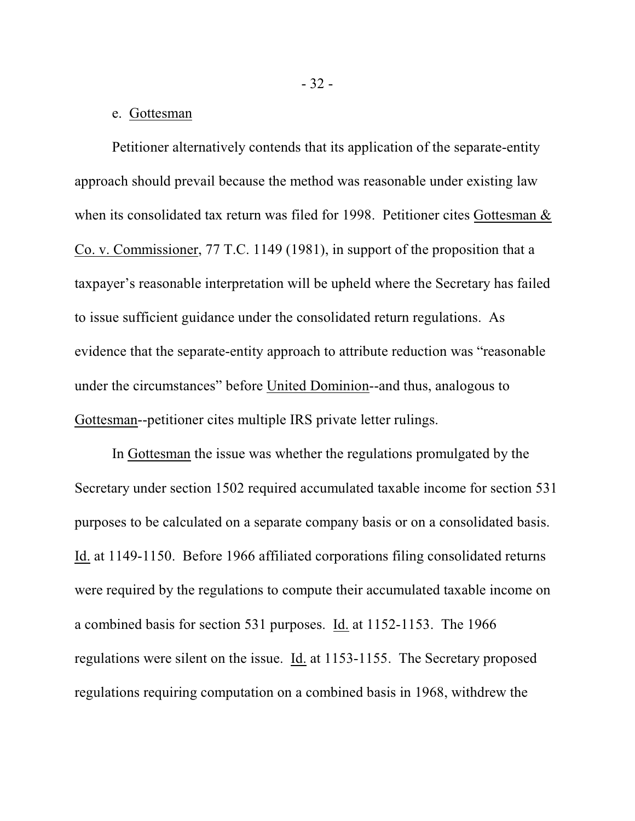#### e. Gottesman

Petitioner alternatively contends that its application of the separate-entity approach should prevail because the method was reasonable under existing law when its consolidated tax return was filed for 1998. Petitioner cites Gottesman & Co. v. Commissioner, 77 T.C. 1149 (1981), in support of the proposition that a taxpayer's reasonable interpretation will be upheld where the Secretary has failed to issue sufficient guidance under the consolidated return regulations. As evidence that the separate-entity approach to attribute reduction was "reasonable under the circumstances" before United Dominion--and thus, analogous to Gottesman--petitioner cites multiple IRS private letter rulings.

In Gottesman the issue was whether the regulations promulgated by the Secretary under section 1502 required accumulated taxable income for section 531 purposes to be calculated on a separate company basis or on a consolidated basis. Id. at 1149-1150. Before 1966 affiliated corporations filing consolidated returns were required by the regulations to compute their accumulated taxable income on a combined basis for section 531 purposes. Id. at 1152-1153. The 1966 regulations were silent on the issue. Id. at 1153-1155. The Secretary proposed regulations requiring computation on a combined basis in 1968, withdrew the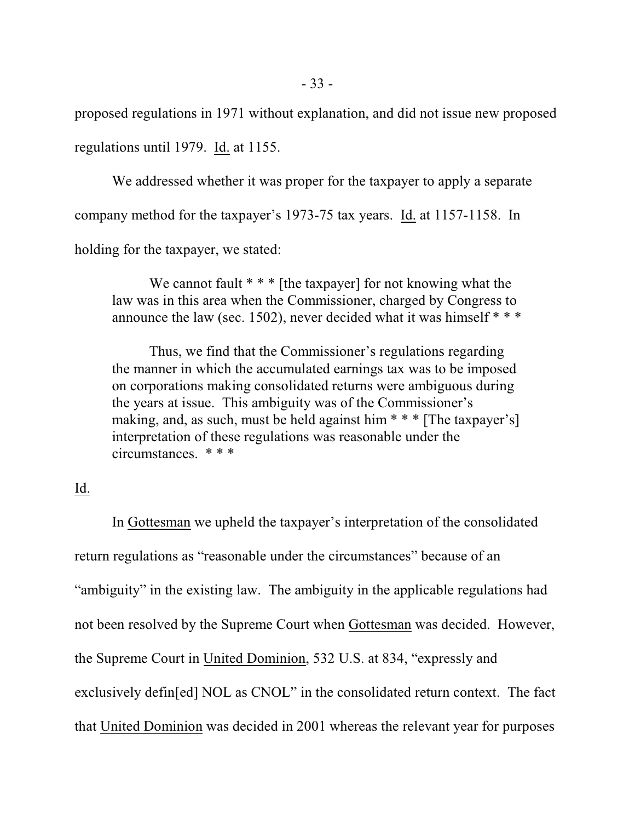proposed regulations in 1971 without explanation, and did not issue new proposed regulations until 1979. Id. at 1155.

We addressed whether it was proper for the taxpayer to apply a separate company method for the taxpayer's 1973-75 tax years. Id. at 1157-1158. In holding for the taxpayer, we stated:

We cannot fault  $***$  [the taxpayer] for not knowing what the law was in this area when the Commissioner, charged by Congress to announce the law (sec. 1502), never decided what it was himself  $***$ 

Thus, we find that the Commissioner's regulations regarding the manner in which the accumulated earnings tax was to be imposed on corporations making consolidated returns were ambiguous during the years at issue. This ambiguity was of the Commissioner's making, and, as such, must be held against him \* \* \* [The taxpayer's] interpretation of these regulations was reasonable under the circumstances. \* \* \*

# Id.

In Gottesman we upheld the taxpayer's interpretation of the consolidated return regulations as "reasonable under the circumstances" because of an "ambiguity" in the existing law. The ambiguity in the applicable regulations had not been resolved by the Supreme Court when Gottesman was decided. However, the Supreme Court in United Dominion, 532 U.S. at 834, "expressly and exclusively defin[ed] NOL as CNOL" in the consolidated return context. The fact that United Dominion was decided in 2001 whereas the relevant year for purposes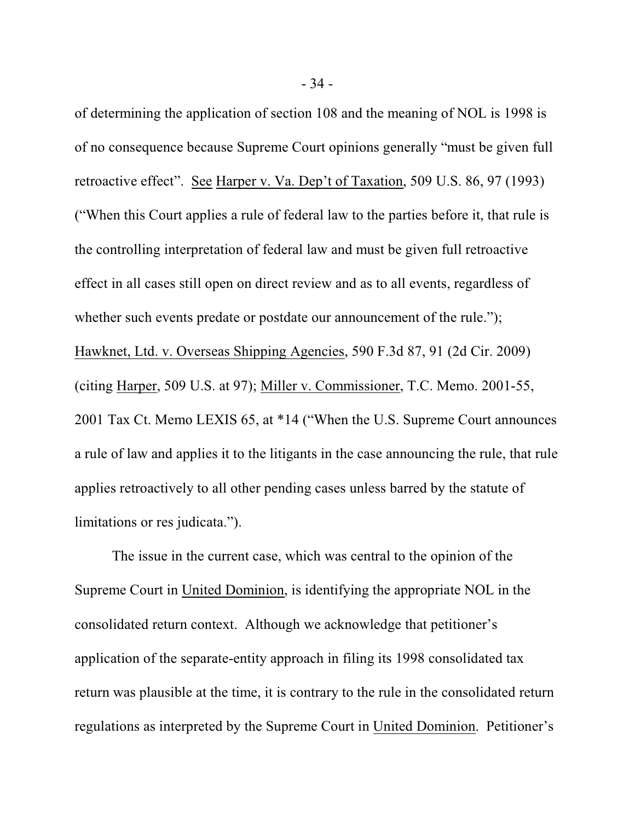of determining the application of section 108 and the meaning of NOL is 1998 is of no consequence because Supreme Court opinions generally "must be given full retroactive effect". See Harper v. Va. Dep't of Taxation, 509 U.S. 86, 97 (1993) ("When this Court applies a rule of federal law to the parties before it, that rule is the controlling interpretation of federal law and must be given full retroactive effect in all cases still open on direct review and as to all events, regardless of whether such events predate or postdate our announcement of the rule."); Hawknet, Ltd. v. Overseas Shipping Agencies, 590 F.3d 87, 91 (2d Cir. 2009) (citing Harper, 509 U.S. at 97); Miller v. Commissioner, T.C. Memo. 2001-55, 2001 Tax Ct. Memo LEXIS 65, at \*14 ("When the U.S. Supreme Court announces a rule of law and applies it to the litigants in the case announcing the rule, that rule applies retroactively to all other pending cases unless barred by the statute of limitations or res judicata.").

The issue in the current case, which was central to the opinion of the Supreme Court in United Dominion, is identifying the appropriate NOL in the consolidated return context. Although we acknowledge that petitioner's application of the separate-entity approach in filing its 1998 consolidated tax return was plausible at the time, it is contrary to the rule in the consolidated return regulations as interpreted by the Supreme Court in United Dominion. Petitioner's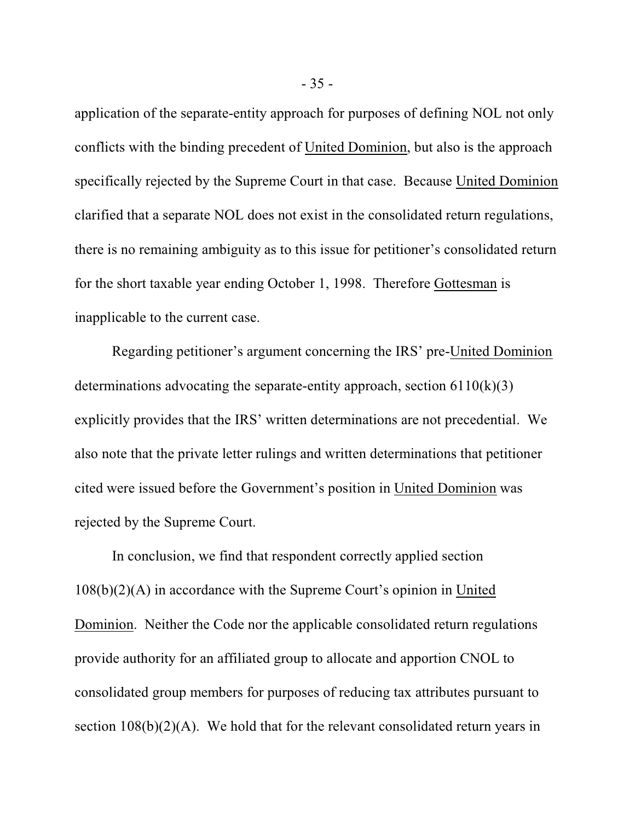application of the separate-entity approach for purposes of defining NOL not only conflicts with the binding precedent of United Dominion, but also is the approach specifically rejected by the Supreme Court in that case. Because United Dominion clarified that a separate NOL does not exist in the consolidated return regulations, there is no remaining ambiguity as to this issue for petitioner's consolidated return for the short taxable year ending October 1, 1998. Therefore Gottesman is inapplicable to the current case.

Regarding petitioner's argument concerning the IRS' pre-United Dominion determinations advocating the separate-entity approach, section  $6110(k)(3)$ explicitly provides that the IRS' written determinations are not precedential. We also note that the private letter rulings and written determinations that petitioner cited were issued before the Government's position in United Dominion was rejected by the Supreme Court.

In conclusion, we find that respondent correctly applied section 108(b)(2)(A) in accordance with the Supreme Court's opinion in United Dominion. Neither the Code nor the applicable consolidated return regulations provide authority for an affiliated group to allocate and apportion CNOL to consolidated group members for purposes of reducing tax attributes pursuant to section  $108(b)(2)(A)$ . We hold that for the relevant consolidated return years in